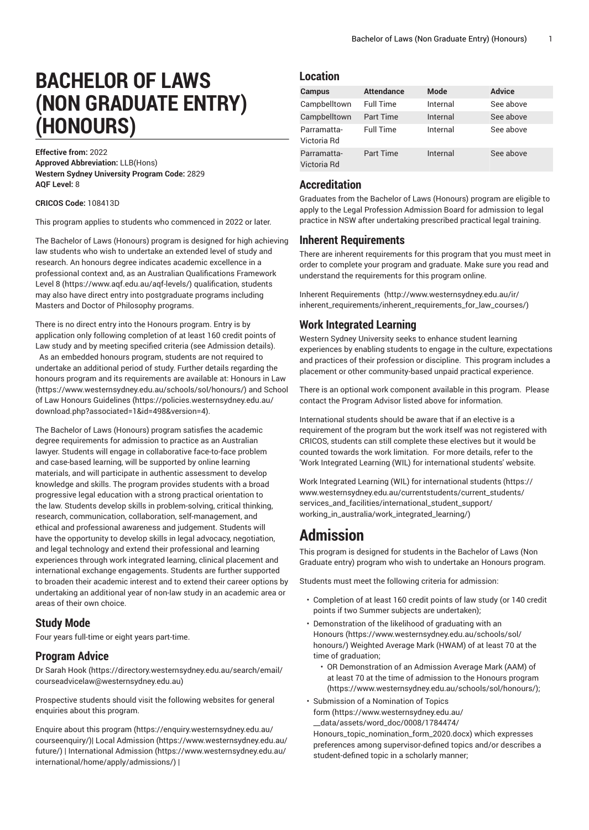# **BACHELOR OF LAWS (NON GRADUATE ENTRY) (HONOURS)**

**Effective from:** 2022 **Approved Abbreviation:** LLB(Hons) **Western Sydney University Program Code:** 2829 **AQF Level:** 8

**CRICOS Code:** 108413D

This program applies to students who commenced in 2022 or later.

The Bachelor of Laws (Honours) program is designed for high achieving law students who wish to undertake an extended level of study and research. An honours degree indicates academic excellence in a professional context and, as an Australian [Qualifications](https://www.aqf.edu.au/aqf-levels/) Framework [Level](https://www.aqf.edu.au/aqf-levels/) 8 (<https://www.aqf.edu.au/aqf-levels/>) qualification, students may also have direct entry into postgraduate programs including Masters and Doctor of Philosophy programs.

There is no direct entry into the Honours program. Entry is by application only following completion of at least 160 credit points of Law study and by meeting specified criteria (see Admission details). As an embedded honours program, students are not required to undertake an additional period of study. Further details regarding the honours program and its requirements are available at: [Honours in Law](https://www.westernsydney.edu.au/schools/sol/honours/) ([https://www.westernsydney.edu.au/schools/sol/honours/\)](https://www.westernsydney.edu.au/schools/sol/honours/) and [School](https://policies.westernsydney.edu.au/download.php?associated=1&id=498&version=4) [of Law Honours Guidelines \(https://policies.westernsydney.edu.au/](https://policies.westernsydney.edu.au/download.php?associated=1&id=498&version=4) [download.php?associated=1&id=498&version=4\)](https://policies.westernsydney.edu.au/download.php?associated=1&id=498&version=4).

The Bachelor of Laws (Honours) program satisfies the academic degree requirements for admission to practice as an Australian lawyer. Students will engage in collaborative face-to-face problem and case-based learning, will be supported by online learning materials, and will participate in authentic assessment to develop knowledge and skills. The program provides students with a broad progressive legal education with a strong practical orientation to the law. Students develop skills in problem-solving, critical thinking, research, communication, collaboration, self-management, and ethical and professional awareness and judgement. Students will have the opportunity to develop skills in legal advocacy, negotiation, and legal technology and extend their professional and learning experiences through work integrated learning, clinical placement and international exchange engagements. Students are further supported to broaden their academic interest and to extend their career options by undertaking an additional year of non-law study in an academic area or areas of their own choice.

### **Study Mode**

Four years full-time or eight years part-time.

### **Program Advice**

[Dr Sarah Hook](https://directory.westernsydney.edu.au/search/email/courseadvicelaw@westernsydney.edu.au) ([https://directory.westernsydney.edu.au/search/email/](https://directory.westernsydney.edu.au/search/email/courseadvicelaw@westernsydney.edu.au) [courseadvicelaw@westernsydney.edu.au\)](https://directory.westernsydney.edu.au/search/email/courseadvicelaw@westernsydney.edu.au)

Prospective students should visit the following websites for general enquiries about this program.

Enquire about this [program \(https://enquiry.westernsydney.edu.au/](https://enquiry.westernsydney.edu.au/courseenquiry/) [courseenquiry/](https://enquiry.westernsydney.edu.au/courseenquiry/))| [Local Admission \(https://www.westernsydney.edu.au/](https://www.westernsydney.edu.au/future/) [future/\)](https://www.westernsydney.edu.au/future/) | [International Admission](https://www.westernsydney.edu.au/international/home/apply/admissions/) ([https://www.westernsydney.edu.au/](https://www.westernsydney.edu.au/international/home/apply/admissions/) [international/home/apply/admissions/](https://www.westernsydney.edu.au/international/home/apply/admissions/)) |

### **Location**

| Campus                     | <b>Attendance</b> | <b>Mode</b> | <b>Advice</b> |
|----------------------------|-------------------|-------------|---------------|
| Campbelltown               | <b>Full Time</b>  | Internal    | See above     |
| Campbelltown               | <b>Part Time</b>  | Internal    | See above     |
| Parramatta-<br>Victoria Rd | <b>Full Time</b>  | Internal    | See above     |
| Parramatta-<br>Victoria Rd | <b>Part Time</b>  | Internal    | See above     |

### **Accreditation**

Graduates from the Bachelor of Laws (Honours) program are eligible to apply to the Legal Profession Admission Board for admission to legal practice in NSW after undertaking prescribed practical legal training.

#### **Inherent Requirements**

There are inherent requirements for this program that you must meet in order to complete your program and graduate. Make sure you read and understand the requirements for this program online.

Inherent [Requirements](http://www.westernsydney.edu.au/ir/inherent_requirements/inherent_requirements_for_law_courses/) ([http://www.westernsydney.edu.au/ir/](http://www.westernsydney.edu.au/ir/inherent_requirements/inherent_requirements_for_law_courses/) [inherent\\_requirements/inherent\\_requirements\\_for\\_law\\_courses/](http://www.westernsydney.edu.au/ir/inherent_requirements/inherent_requirements_for_law_courses/))

### **Work Integrated Learning**

Western Sydney University seeks to enhance student learning experiences by enabling students to engage in the culture, expectations and practices of their profession or discipline. This program includes a placement or other community-based unpaid practical experience.

There is an optional work component available in this program. Please contact the Program Advisor listed above for information.

International students should be aware that if an elective is a requirement of the program but the work itself was not registered with CRICOS, students can still complete these electives but it would be counted towards the work limitation. For more details, refer to the 'Work Integrated Learning (WIL) for international students' website.

Work Integrated Learning (WIL) for [international](https://www.westernsydney.edu.au/currentstudents/current_students/services_and_facilities/international_student_support/working_in_australia/work_integrated_learning/) students ([https://](https://www.westernsydney.edu.au/currentstudents/current_students/services_and_facilities/international_student_support/working_in_australia/work_integrated_learning/) [www.westernsydney.edu.au/currentstudents/current\\_students/](https://www.westernsydney.edu.au/currentstudents/current_students/services_and_facilities/international_student_support/working_in_australia/work_integrated_learning/) [services\\_and\\_facilities/international\\_student\\_support/](https://www.westernsydney.edu.au/currentstudents/current_students/services_and_facilities/international_student_support/working_in_australia/work_integrated_learning/) [working\\_in\\_australia/work\\_integrated\\_learning/](https://www.westernsydney.edu.au/currentstudents/current_students/services_and_facilities/international_student_support/working_in_australia/work_integrated_learning/))

## **Admission**

This program is designed for students in the Bachelor of Laws (Non Graduate entry) program who wish to undertake an Honours program.

Students must meet the following criteria for admission:

- Completion of at least 160 credit points of law study (or 140 credit points if two Summer subjects are undertaken);
- Demonstration of the likelihood of graduating with an [Honours](https://www.westernsydney.edu.au/schools/sol/honours/) ([https://www.westernsydney.edu.au/schools/sol/](https://www.westernsydney.edu.au/schools/sol/honours/) [honours/](https://www.westernsydney.edu.au/schools/sol/honours/)) Weighted Average Mark (HWAM) of at least 70 at the time of graduation;
	- OR Demonstration of an Admission Average Mark (AAM) of at least 70 at the time of admission to the [Honours](https://www.westernsydney.edu.au/schools/sol/honours/) program ([https://www.westernsydney.edu.au/schools/sol/honours/\)](https://www.westernsydney.edu.au/schools/sol/honours/);
- Submission of a [Nomination](https://www.westernsydney.edu.au/__data/assets/word_doc/0008/1784474/Honours_topic_nomination_form_2020.docx) of Topics [form](https://www.westernsydney.edu.au/__data/assets/word_doc/0008/1784474/Honours_topic_nomination_form_2020.docx) ([https://www.westernsydney.edu.au/](https://www.westernsydney.edu.au/__data/assets/word_doc/0008/1784474/Honours_topic_nomination_form_2020.docx) [\\_\\_data/assets/word\\_doc/0008/1784474/](https://www.westernsydney.edu.au/__data/assets/word_doc/0008/1784474/Honours_topic_nomination_form_2020.docx)

[Honours\\_topic\\_nomination\\_form\\_2020.docx](https://www.westernsydney.edu.au/__data/assets/word_doc/0008/1784474/Honours_topic_nomination_form_2020.docx)) which expresses preferences among supervisor-defined topics and/or describes a student-defined topic in a scholarly manner;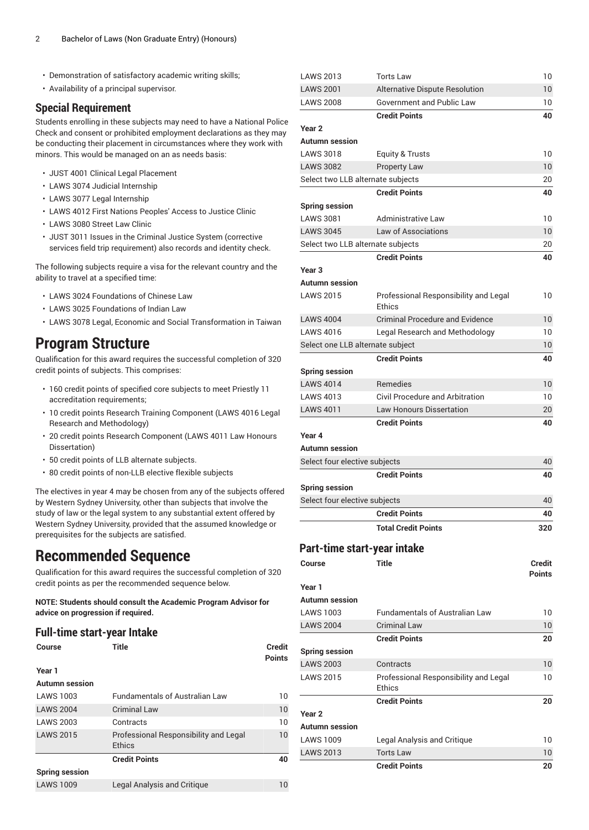- Demonstration of satisfactory academic writing skills;
- Availability of a principal supervisor.

### **Special Requirement**

Students enrolling in these subjects may need to have a National Police Check and consent or prohibited employment declarations as they may be conducting their placement in circumstances where they work with minors. This would be managed on an as needs basis:

- [JUST 4001](/search/?P=JUST%204001) Clinical Legal Placement
- [LAWS](/search/?P=LAWS%203074) 3074 Judicial Internship
- [LAWS](/search/?P=LAWS%203077) 3077 Legal Internship
- [LAWS](/search/?P=LAWS%204012) 4012 First Nations Peoples' Access to Justice Clinic
- [LAWS](/search/?P=LAWS%203080) 3080 Street Law Clinic
- [JUST 3011](/search/?P=JUST%203011) Issues in the Criminal Justice System (corrective services field trip requirement) also records and identity check.

The following subjects require a visa for the relevant country and the ability to travel at a specified time:

- [LAWS](/search/?P=LAWS%203024) 3024 Foundations of Chinese Law
- [LAWS](/search/?P=LAWS%203025) 3025 Foundations of Indian Law
- [LAWS](/search/?P=LAWS%203078) 3078 Legal, Economic and Social Transformation in Taiwan

### **Program Structure**

Qualification for this award requires the successful completion of 320 credit points of subjects. This comprises:

- 160 credit points of specified core subjects to meet Priestly 11 accreditation requirements;
- 10 credit points Research Training Component [\(LAWS](/search/?P=LAWS%204016) 4016 Legal Research and Methodology)
- 20 credit points Research Component [\(LAWS](/search/?P=LAWS%204011) 4011 Law Honours Dissertation)
- 50 credit points of LLB alternate subjects.
- 80 credit points of non-LLB elective flexible subjects

The electives in year 4 may be chosen from any of the subjects offered by Western Sydney University, other than subjects that involve the study of law or the legal system to any substantial extent offered by Western Sydney University, provided that the assumed knowledge or prerequisites for the subjects are satisfied.

### **Recommended Sequence**

Qualification for this award requires the successful completion of 320 credit points as per the recommended sequence below.

**NOTE: Students should consult the Academic Program Advisor for advice on progression if required.**

#### **Full-time start-year Intake**

| Course                | Title                                           | <b>Credit</b><br><b>Points</b> |
|-----------------------|-------------------------------------------------|--------------------------------|
| Year 1                |                                                 |                                |
| <b>Autumn session</b> |                                                 |                                |
| <b>LAWS 1003</b>      | <b>Fundamentals of Australian Law</b>           | 10                             |
| <b>LAWS 2004</b>      | Criminal Law                                    | 10                             |
| <b>LAWS 2003</b>      | Contracts                                       | 10                             |
| <b>LAWS 2015</b>      | Professional Responsibility and Legal<br>Ethics | 10                             |
|                       | <b>Credit Points</b>                            | 40                             |
| <b>Spring session</b> |                                                 |                                |
| <b>LAWS 1009</b>      | <b>Legal Analysis and Critique</b>              | 10                             |

| Year <sub>2</sub>                 |                                                         |               |
|-----------------------------------|---------------------------------------------------------|---------------|
|                                   |                                                         |               |
|                                   | <b>Credit Points</b>                                    | 20            |
|                                   | Ethics                                                  |               |
| <b>LAWS 2015</b>                  | Professional Responsibility and Legal                   | 10            |
| <b>LAWS 2003</b>                  | Contracts                                               | 10            |
| <b>Spring session</b>             |                                                         |               |
|                                   | <b>Credit Points</b>                                    | 20            |
| <b>LAWS 2004</b>                  | <b>Criminal Law</b>                                     | 10            |
| <b>LAWS 1003</b>                  | <b>Fundamentals of Australian Law</b>                   | 10            |
| <b>Autumn</b> session             |                                                         |               |
| Year 1                            |                                                         |               |
|                                   |                                                         | <b>Points</b> |
| <b>Course</b>                     | <b>Title</b>                                            | <b>Credit</b> |
| Part-time start-year intake       |                                                         |               |
|                                   | <b>Total Credit Points</b>                              | 320           |
|                                   | <b>Credit Points</b>                                    | 40            |
| Select four elective subjects     |                                                         | 40            |
| <b>Spring session</b>             |                                                         |               |
|                                   | <b>Credit Points</b>                                    | 40            |
| Select four elective subjects     |                                                         | 40            |
|                                   |                                                         |               |
| Year 4<br>Autumn session          |                                                         |               |
|                                   |                                                         | 40            |
| <b>LAWS 4011</b>                  | <b>Law Honours Dissertation</b><br><b>Credit Points</b> | 20            |
| <b>LAWS 4013</b>                  |                                                         | 10            |
| <b>LAWS 4014</b>                  | Remedies<br><b>Civil Procedure and Arbitration</b>      | 10            |
| <b>Spring session</b>             |                                                         |               |
|                                   | <b>Credit Points</b>                                    | 40            |
| Select one LLB alternate subject  |                                                         | 10            |
| <b>LAWS 4016</b>                  | Legal Research and Methodology                          | 10            |
| <b>LAWS 4004</b>                  | <b>Criminal Procedure and Evidence</b>                  | 10            |
|                                   | Ethics                                                  |               |
| <b>LAWS 2015</b>                  | Professional Responsibility and Legal                   | 10            |
| Autumn session                    |                                                         |               |
| Year <sub>3</sub>                 |                                                         |               |
|                                   | <b>Credit Points</b>                                    | 40            |
| Select two LLB alternate subjects |                                                         | 20            |
| <b>LAWS 3045</b>                  | Law of Associations                                     | 10            |
| <b>LAWS 3081</b>                  | <b>Administrative Law</b>                               | 10            |
| <b>Spring session</b>             |                                                         |               |
|                                   | <b>Credit Points</b>                                    | 40            |
| Select two LLB alternate subjects |                                                         | 20            |
| <b>LAWS 3082</b>                  | Property Law                                            | 10            |
| <b>LAWS 3018</b>                  | Equity & Trusts                                         | 10            |
| Autumn session                    |                                                         |               |
| Year <sub>2</sub>                 |                                                         |               |
|                                   | <b>Credit Points</b>                                    | 40            |
| <b>LAWS 2008</b>                  | <b>Government and Public Law</b>                        | 10            |
| <b>LAWS 2001</b>                  | Alternative Dispute Resolution                          | 10            |
| LAWS 2013                         | Torts Law                                               | 10            |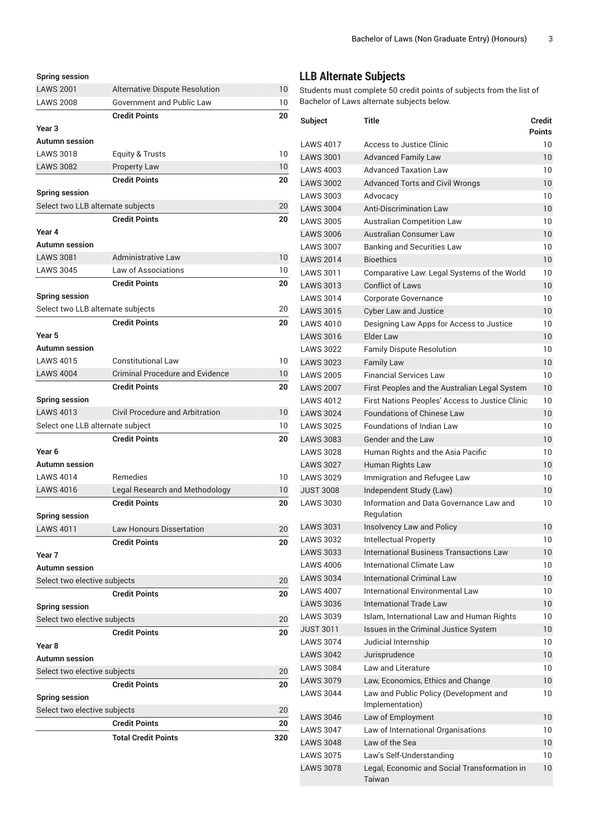| <b>Spring session</b>                |                                                        |          |
|--------------------------------------|--------------------------------------------------------|----------|
| <b>LAWS 2001</b>                     | Alternative Dispute Resolution                         | 10       |
| <b>LAWS 2008</b>                     | <b>Government and Public Law</b>                       | 10       |
|                                      | <b>Credit Points</b>                                   | 20       |
| Year <sub>3</sub>                    |                                                        |          |
| <b>Autumn session</b>                |                                                        |          |
| <b>LAWS 3018</b>                     | <b>Equity &amp; Trusts</b>                             | 10       |
| <b>LAWS 3082</b>                     | <b>Property Law</b>                                    | 10       |
|                                      | <b>Credit Points</b>                                   | 20       |
| <b>Spring session</b>                |                                                        |          |
| Select two LLB alternate subjects    |                                                        | 20       |
|                                      | <b>Credit Points</b>                                   | 20       |
| Year 4                               |                                                        |          |
| Autumn session                       |                                                        |          |
| <b>LAWS 3081</b>                     | <b>Administrative Law</b>                              | 10       |
| <b>LAWS 3045</b>                     | Law of Associations                                    | 10       |
|                                      | <b>Credit Points</b>                                   | 20       |
| <b>Spring session</b>                |                                                        |          |
| Select two LLB alternate subjects    |                                                        | 20       |
|                                      | <b>Credit Points</b>                                   | 20       |
| Year 5                               |                                                        |          |
| <b>Autumn session</b>                |                                                        |          |
| <b>LAWS 4015</b>                     | <b>Constitutional Law</b>                              | 10       |
| <b>LAWS 4004</b>                     | <b>Criminal Procedure and Evidence</b>                 | 10       |
|                                      | <b>Credit Points</b>                                   | 20       |
| <b>Spring session</b>                |                                                        |          |
| <b>LAWS 4013</b>                     | Civil Procedure and Arbitration                        | 10       |
| Select one LLB alternate subject     |                                                        | 10       |
|                                      | <b>Credit Points</b>                                   | 20       |
| Year <sub>6</sub>                    |                                                        |          |
| Autumn session                       | <b>Remedies</b>                                        |          |
| <b>LAWS 4014</b><br><b>LAWS 4016</b> |                                                        | 10       |
|                                      | Legal Research and Methodology<br><b>Credit Points</b> | 10<br>20 |
| <b>Spring session</b>                |                                                        |          |
| <b>LAWS 4011</b>                     | <b>Law Honours Dissertation</b>                        | 20       |
|                                      | <b>Credit Points</b>                                   | 20       |
| Year 7                               |                                                        |          |
| <b>Autumn session</b>                |                                                        |          |
| Select two elective subjects         |                                                        | 20       |
|                                      | <b>Credit Points</b>                                   | 20       |
| <b>Spring session</b>                |                                                        |          |
| Select two elective subjects         |                                                        | 20       |
|                                      | <b>Credit Points</b>                                   | 20       |
| Year <sub>8</sub>                    |                                                        |          |
| Autumn session                       |                                                        |          |
| Select two elective subjects         |                                                        | 20       |
|                                      | <b>Credit Points</b>                                   | 20       |
| <b>Spring session</b>                |                                                        |          |
| Select two elective subjects         |                                                        | 20       |
|                                      | <b>Credit Points</b>                                   | 20       |
|                                      | <b>Total Credit Points</b>                             | 320      |
|                                      |                                                        |          |

## **LLB Alternate Subjects**

Students must complete 50 credit points of subjects from the list of Bachelor of Laws alternate subjects below.

| <b>Subject</b>                       | Title                                                                                            | <b>Credit</b>   |
|--------------------------------------|--------------------------------------------------------------------------------------------------|-----------------|
|                                      |                                                                                                  | <b>Points</b>   |
| <b>LAWS 4017</b>                     | Access to Justice Clinic                                                                         | 10              |
| <b>LAWS 3001</b>                     | <b>Advanced Family Law</b>                                                                       | 10              |
| LAWS 4003                            | <b>Advanced Taxation Law</b>                                                                     | 10              |
| <b>LAWS 3002</b>                     | Advanced Torts and Civil Wrongs                                                                  | 10              |
| <b>LAWS 3003</b>                     | Advocacy                                                                                         | 10              |
| <b>LAWS 3004</b>                     | <b>Anti-Discrimination Law</b>                                                                   | 10              |
| <b>LAWS 3005</b>                     | <b>Australian Competition Law</b>                                                                | 10              |
| <b>LAWS 3006</b>                     | Australian Consumer Law                                                                          | 10              |
| <b>LAWS 3007</b>                     | <b>Banking and Securities Law</b>                                                                | 10              |
| <b>LAWS 2014</b>                     | <b>Bioethics</b>                                                                                 | 10              |
| <b>LAWS 3011</b>                     | Comparative Law: Legal Systems of the World                                                      | 10              |
| <b>LAWS 3013</b>                     | <b>Conflict of Laws</b>                                                                          | 10              |
| <b>LAWS 3014</b>                     | Corporate Governance                                                                             | 10              |
| <b>LAWS 3015</b>                     | <b>Cyber Law and Justice</b>                                                                     | 10              |
| <b>LAWS 4010</b>                     | Designing Law Apps for Access to Justice<br>Flder Law                                            | 10              |
| <b>LAWS 3016</b>                     |                                                                                                  | 10              |
| <b>LAWS 3022</b><br><b>LAWS 3023</b> | <b>Family Dispute Resolution</b>                                                                 | 10              |
| <b>LAWS 2005</b>                     | <b>Family Law</b><br><b>Financial Services Law</b>                                               | 10<br>10        |
| <b>LAWS 2007</b>                     |                                                                                                  | 10              |
| <b>LAWS 4012</b>                     | First Peoples and the Australian Legal System<br>First Nations Peoples' Access to Justice Clinic | 10              |
| <b>LAWS 3024</b>                     | <b>Foundations of Chinese Law</b>                                                                | 10              |
| <b>LAWS 3025</b>                     | <b>Foundations of Indian Law</b>                                                                 | 10              |
| <b>LAWS 3083</b>                     | Gender and the Law                                                                               | 10              |
| <b>LAWS 3028</b>                     | Human Rights and the Asia Pacific                                                                | 10              |
| <b>LAWS 3027</b>                     | Human Rights Law                                                                                 | 10              |
| <b>LAWS 3029</b>                     | Immigration and Refugee Law                                                                      | 10              |
| <b>JUST 3008</b>                     | Independent Study (Law)                                                                          | 10              |
| <b>LAWS 3030</b>                     | Information and Data Governance Law and                                                          | 10              |
|                                      | Regulation                                                                                       |                 |
| <b>LAWS 3031</b>                     | Insolvency Law and Policy                                                                        | 10              |
| <b>LAWS 3032</b>                     | <b>Intellectual Property</b>                                                                     | 10              |
| <b>LAWS 3033</b>                     | International Business Transactions Law                                                          | 10              |
| LAWS 4006                            | International Climate Law                                                                        | 10              |
| <b>LAWS 3034</b>                     | International Criminal Law                                                                       | 10 <sup>°</sup> |
| <b>LAWS 4007</b>                     | International Environmental Law                                                                  | 10              |
| <b>LAWS 3036</b>                     | <b>International Trade Law</b>                                                                   | 10              |
| <b>LAWS 3039</b>                     | Islam, International Law and Human Rights                                                        | 10              |
| <b>JUST 3011</b>                     | Issues in the Criminal Justice System                                                            | 10              |
| <b>LAWS 3074</b>                     | Judicial Internship                                                                              | 10              |
| <b>LAWS 3042</b>                     | Jurisprudence                                                                                    | 10 <sup>°</sup> |
| <b>LAWS 3084</b>                     | Law and Literature                                                                               | 10              |
| <b>LAWS 3079</b>                     | Law, Economics, Ethics and Change                                                                | 10              |
| <b>LAWS 3044</b>                     | Law and Public Policy (Development and<br>Implementation)                                        | 10              |
| <b>LAWS 3046</b>                     | Law of Employment                                                                                | 10              |
| <b>LAWS 3047</b>                     | Law of International Organisations                                                               | 10              |
| <b>LAWS 3048</b>                     | Law of the Sea                                                                                   | 10              |
| <b>LAWS 3075</b>                     | Law's Self-Understanding                                                                         | 10              |
| <b>LAWS 3078</b>                     | Legal, Economic and Social Transformation in<br>Taiwan                                           | 10              |